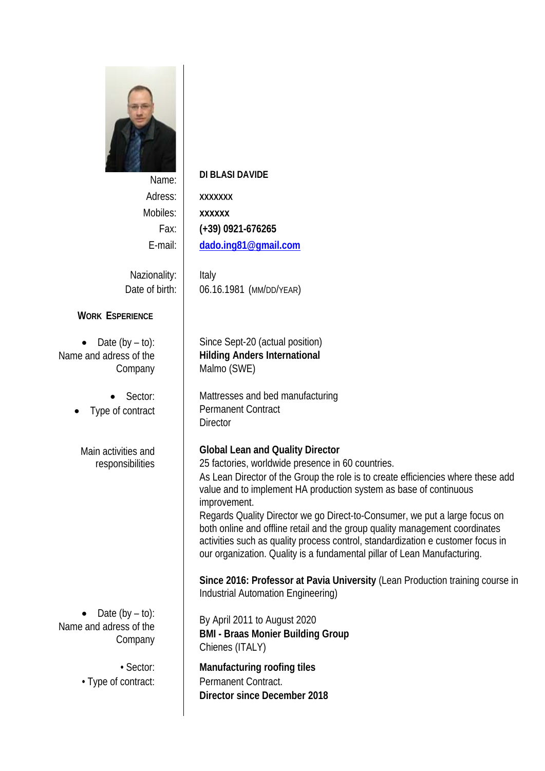

# Name: **DI BLASI DAVIDE**

Adress: **XXXXXXX** Mobiles: **xxxxxx** 

Fax: **(+39) 0921-676265**  E-mail: **dado.ing81@gmail.com** 

Nazionality: | Italy

Date of birth: | 06.16.1981 (MM/DD/YEAR)

## **WORK ESPERIENCE**

 $\bullet$  Date (by  $-$  to): Name and adress of the Company

> Sector: Type of contract

> Main activities and responsibilities

 $\bullet$  Date (by  $-$  to): Name and adress of the Company

 Since Sept-20 (actual position) **Hilding Anders International**  Malmo (SWE)

Mattresses and bed manufacturing Permanent Contract **Director** 

**Global Lean and Quality Director** 

25 factories, worldwide presence in 60 countries.

As Lean Director of the Group the role is to create efficiencies where these add value and to implement HA production system as base of continuous improvement.

Regards Quality Director we go Direct-to-Consumer, we put a large focus on both online and offline retail and the group quality management coordinates activities such as quality process control, standardization e customer focus in our organization. Quality is a fundamental pillar of Lean Manufacturing.

**Since 2016: Professor at Pavia University** (Lean Production training course in Industrial Automation Engineering)

By April 2011 to August 2020 **BMI - Braas Monier Building Group**  Chienes (ITALY)

• Sector: **Manufacturing roofing tiles**  • Type of contract: Fremanent Contract. **Director since December 2018**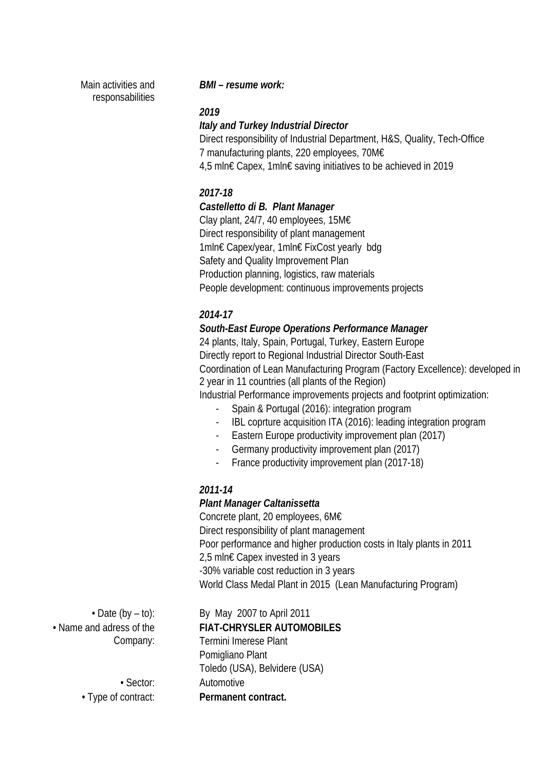Main activities and responsabilities

#### *BMI – resume work:*

#### *2019*

#### *Italy and Turkey Industrial Director*

Direct responsibility of Industrial Department, H&S, Quality, Tech-Office 7 manufacturing plants, 220 employees, 70M€ 4,5 mln€ Capex, 1mln€ saving initiatives to be achieved in 2019

# *2017-18*

## *Castelletto di B. Plant Manager*

Clay plant, 24/7, 40 employees, 15M€ Direct responsibility of plant management 1mln€ Capex/year, 1mln€ FixCost yearly bdg Safety and Quality Improvement Plan Production planning, logistics, raw materials People development: continuous improvements projects

# *2014-17*

## *South-East Europe Operations Performance Manager*

24 plants, Italy, Spain, Portugal, Turkey, Eastern Europe Directly report to Regional Industrial Director South-East Coordination of Lean Manufacturing Program (Factory Excellence): developed in 2 year in 11 countries (all plants of the Region)

Industrial Performance improvements projects and footprint optimization:

- Spain & Portugal (2016): integration program
- IBL coprture acquisition ITA (2016): leading integration program
- Eastern Europe productivity improvement plan (2017)
- Germany productivity improvement plan (2017)
- France productivity improvement plan (2017-18)

## *2011-14*

#### *Plant Manager Caltanissetta*

Concrete plant, 20 employees, 6M€ Direct responsibility of plant management Poor performance and higher production costs in Italy plants in 2011 2.5 mln€ Capex invested in 3 years -30% variable cost reduction in 3 years World Class Medal Plant in 2015 (Lean Manufacturing Program)

• Name and adress of the Company:

• Date (by – to): By May 2007 to April 2011 **FIAT-CHRYSLER AUTOMOBILES** Termini Imerese Plant Pomigliano Plant Toledo (USA), Belvidere (USA) • Sector: Automotive • Type of contract: **Permanent contract.**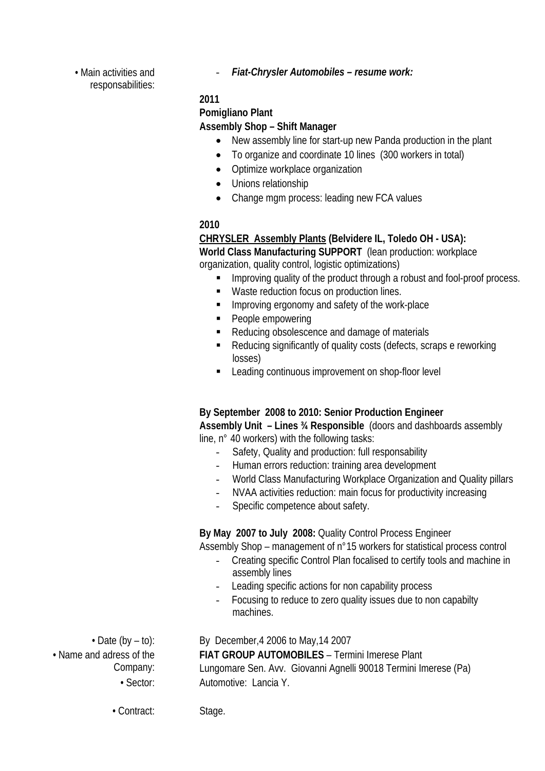• Main activities and responsabilities: - *Fiat-Chrysler Automobiles – resume work:* 

#### **2011**

#### **Pomigliano Plant**

#### **Assembly Shop – Shift Manager**

- New assembly line for start-up new Panda production in the plant
- To organize and coordinate 10 lines (300 workers in total)
- Optimize workplace organization
- Unions relationship
- Change mgm process: leading new FCA values

## **2010**

# **CHRYSLER Assembly Plants (Belvidere IL, Toledo OH - USA):**

**World Class Manufacturing SUPPORT** (lean production: workplace organization, quality control, logistic optimizations)

- Improving quality of the product through a robust and fool-proof process.
- Waste reduction focus on production lines.
- **IMPROVING EXECTED IN A SAFETY OF THE WORK-PLACE**
- People empowering
- Reducing obsolescence and damage of materials
- Reducing significantly of quality costs (defects, scraps e reworking losses)
- Leading continuous improvement on shop-floor level

#### **By September 2008 to 2010: Senior Production Engineer**

**Assembly Unit – Lines ¾ Responsible** (doors and dashboards assembly line, n° 40 workers) with the following tasks:

- Safety, Quality and production: full responsability
- Human errors reduction: training area development
- World Class Manufacturing Workplace Organization and Quality pillars
- NVAA activities reduction: main focus for productivity increasing
- Specific competence about safety.

**By May 2007 to July 2008:** Quality Control Process Engineer

Assembly Shop – management of n°15 workers for statistical process control

- Creating specific Control Plan focalised to certify tools and machine in assembly lines
- Leading specific actions for non capability process
- Focusing to reduce to zero quality issues due to non capabilty machines.

• Date (by  $-$  to): By December, 4 2006 to May, 14 2007

**FIAT GROUP AUTOMOBILES** – Termini Imerese Plant Lungomare Sen. Avv. Giovanni Agnelli 90018 Termini Imerese (Pa) • Sector: Automotive: Lancia Y.

Company:

• Name and adress of the

• Contract: Stage.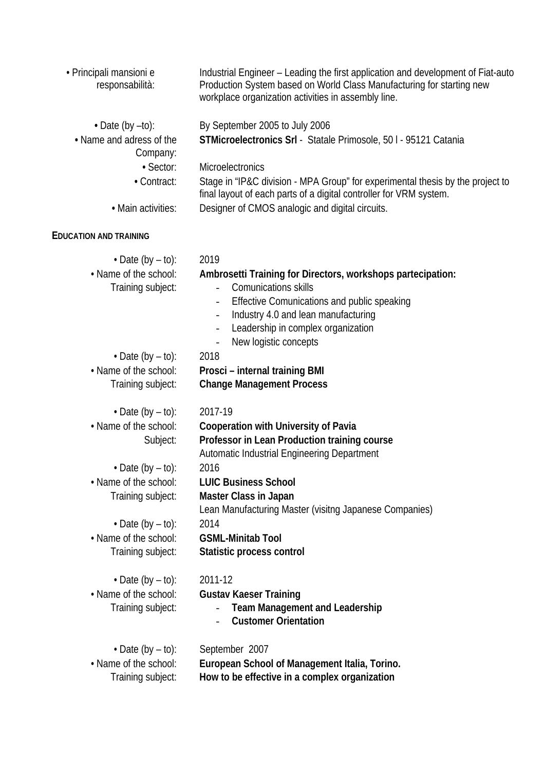| · Principali mansioni e<br>responsabilità: | Industrial Engineer – Leading the first application and development of Fiat-auto<br>Production System based on World Class Manufacturing for starting new<br>workplace organization activities in assembly line. |
|--------------------------------------------|------------------------------------------------------------------------------------------------------------------------------------------------------------------------------------------------------------------|
| $\cdot$ Date (by $-t$ o):                  | By September 2005 to July 2006                                                                                                                                                                                   |
| • Name and adress of the<br>Company:       | STMicroelectronics Srl - Statale Primosole, 501 - 95121 Catania                                                                                                                                                  |
| · Sector:                                  | <b>Microelectronics</b>                                                                                                                                                                                          |
| • Contract:                                | Stage in "IP&C division - MPA Group" for experimental thesis by the project to<br>final layout of each parts of a digital controller for VRM system.                                                             |
| • Main activities:                         | Designer of CMOS analogic and digital circuits.                                                                                                                                                                  |
| <b>EDUCATION AND TRAINING</b>              |                                                                                                                                                                                                                  |
| $\cdot$ Date (by – to):                    | 2019                                                                                                                                                                                                             |
| • Name of the school:                      | Ambrosetti Training for Directors, workshops partecipation:                                                                                                                                                      |
| Training subject:                          | <b>Comunications skills</b><br>$\overline{\phantom{a}}$                                                                                                                                                          |
|                                            | Effective Comunications and public speaking                                                                                                                                                                      |
|                                            | Industry 4.0 and lean manufacturing<br>$\overline{\phantom{a}}$<br>Leadership in complex organization                                                                                                            |
|                                            | New logistic concepts<br>$\qquad \qquad -$                                                                                                                                                                       |
| $\cdot$ Date (by $-$ to):                  | 2018                                                                                                                                                                                                             |
| • Name of the school:                      | Prosci - internal training BMI                                                                                                                                                                                   |
| Training subject:                          | <b>Change Management Process</b>                                                                                                                                                                                 |
| $\cdot$ Date (by $-$ to):                  | 2017-19                                                                                                                                                                                                          |
| • Name of the school:                      | <b>Cooperation with University of Pavia</b>                                                                                                                                                                      |
| Subject:                                   | Professor in Lean Production training course                                                                                                                                                                     |
|                                            | Automatic Industrial Engineering Department                                                                                                                                                                      |
| $\cdot$ Date (by $-$ to):                  | 2016                                                                                                                                                                                                             |
| • Name of the school:                      | <b>LUIC Business School</b>                                                                                                                                                                                      |
| Training subject:                          | <b>Master Class in Japan</b>                                                                                                                                                                                     |
|                                            | Lean Manufacturing Master (visitng Japanese Companies)                                                                                                                                                           |
| $\cdot$ Date (by – to):                    | 2014                                                                                                                                                                                                             |
| • Name of the school:                      | <b>GSML-Minitab Tool</b>                                                                                                                                                                                         |
| Training subject:                          | Statistic process control                                                                                                                                                                                        |
| • Date (by $-$ to):                        | 2011-12                                                                                                                                                                                                          |
| • Name of the school:                      | <b>Gustav Kaeser Training</b>                                                                                                                                                                                    |
| Training subject:                          | <b>Team Management and Leadership</b><br><b>Customer Orientation</b>                                                                                                                                             |
| $\cdot$ Date (by $-$ to):                  | September 2007                                                                                                                                                                                                   |
| • Name of the school:                      | European School of Management Italia, Torino.                                                                                                                                                                    |
| Training subject:                          | How to be effective in a complex organization                                                                                                                                                                    |
|                                            |                                                                                                                                                                                                                  |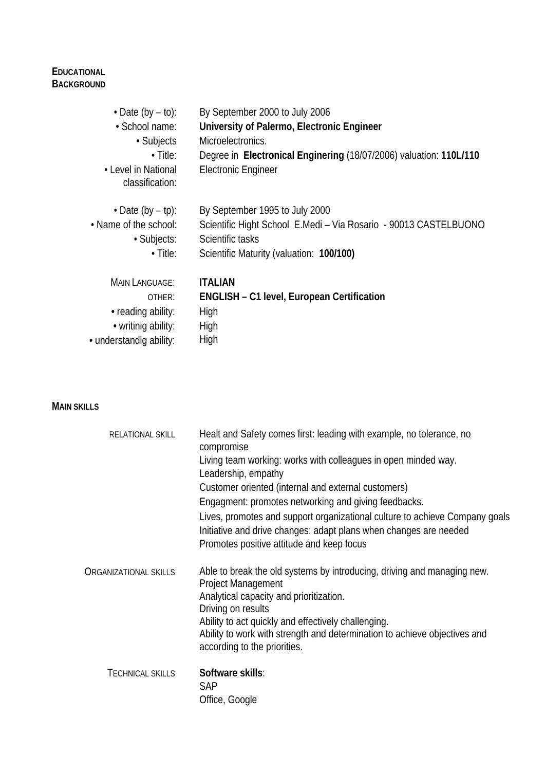## **EDUCATIONAL BACKGROUND**

| $\cdot$ Date (by $-$ to):              | By September 2000 to July 2006                                     |
|----------------------------------------|--------------------------------------------------------------------|
| • School name:                         | University of Palermo, Electronic Engineer                         |
| • Subjects                             | Microelectronics.                                                  |
| $\cdot$ Title:                         | Degree in Electronical Enginering (18/07/2006) valuation: 110L/110 |
| • Level in National<br>classification: | <b>Electronic Engineer</b>                                         |
| $\cdot$ Date (by $-$ tp):              | By September 1995 to July 2000                                     |
| • Name of the school:                  | Scientific Hight School E.Medi - Via Rosario - 90013 CASTELBUONO   |
| · Subjects:                            | Scientific tasks                                                   |
| $\cdot$ Title:                         | Scientific Maturity (valuation: 100/100)                           |
| <b>MAIN LANGUAGE:</b>                  | <b>ITALIAN</b>                                                     |
| OTHER:                                 | <b>ENGLISH - C1 level, European Certification</b>                  |
| • reading ability:                     | High                                                               |
| • writinig ability:                    | High                                                               |
| • understandig ability:                | High                                                               |

#### **MAIN SKILLS**

| RELATIONAL SKILL             | Healt and Safety comes first: leading with example, no tolerance, no<br>compromise<br>Living team working: works with colleagues in open minded way.<br>Leadership, empathy<br>Customer oriented (internal and external customers)<br>Engagment: promotes networking and giving feedbacks.<br>Lives, promotes and support organizational culture to achieve Company goals<br>Initiative and drive changes: adapt plans when changes are needed<br>Promotes positive attitude and keep focus |
|------------------------------|---------------------------------------------------------------------------------------------------------------------------------------------------------------------------------------------------------------------------------------------------------------------------------------------------------------------------------------------------------------------------------------------------------------------------------------------------------------------------------------------|
| <b>ORGANIZATIONAL SKILLS</b> | Able to break the old systems by introducing, driving and managing new.<br><b>Project Management</b><br>Analytical capacity and prioritization.<br>Driving on results<br>Ability to act quickly and effectively challenging.<br>Ability to work with strength and determination to achieve objectives and<br>according to the priorities.                                                                                                                                                   |
| <b>TECHNICAL SKILLS</b>      | Software skills:<br><b>SAP</b><br>Office, Google                                                                                                                                                                                                                                                                                                                                                                                                                                            |